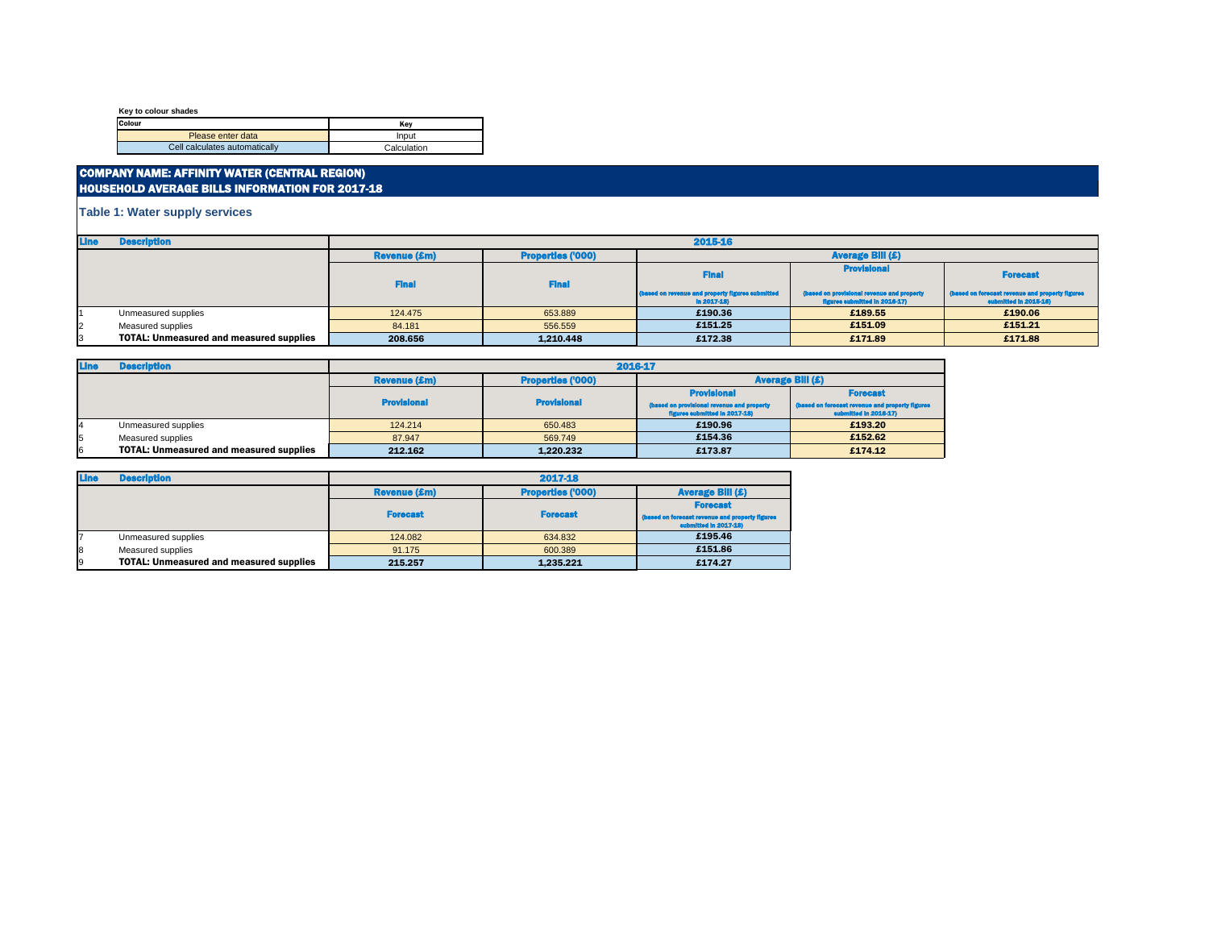**Key to colour shades**

| Colour                        | Kev         |
|-------------------------------|-------------|
| Please enter data             | Input       |
| Cell calculates automatically | Calculation |

### COMPANY NAME: AFFINITY WATER (CENTRAL REGION) HOUSEHOLD AVERAGE BILLS INFORMATION FOR 2017-18

| <b>Line</b> | <b>Description</b>                             |                     | 2015-16                  |                                                                  |                                                                             |                                                                          |  |  |
|-------------|------------------------------------------------|---------------------|--------------------------|------------------------------------------------------------------|-----------------------------------------------------------------------------|--------------------------------------------------------------------------|--|--|
|             |                                                | <b>Revenue (£m)</b> | <b>Properties ('000)</b> | <b>Average Bill (£)</b>                                          |                                                                             |                                                                          |  |  |
|             |                                                | <b>Final</b>        | <b>Final</b>             | <b>Final</b>                                                     | <b>Provisional</b>                                                          | <b>Forecast</b>                                                          |  |  |
|             |                                                |                     |                          | (based on revenue and property figures submitted<br>$ln 2017-18$ | (based on provisional revenue and property<br>figures submitted in 2016-17) | (based on forecast revenue and property figures<br>submitted in 2015-16) |  |  |
|             | Unmeasured supplies                            | 124,475             | 653.889                  | £190.36                                                          | £189.55                                                                     | £190.06                                                                  |  |  |
|             | Measured supplies                              | 84.181              | 556.559                  | £151.25                                                          | £151.09                                                                     | £151.21                                                                  |  |  |
|             | <b>TOTAL: Unmeasured and measured supplies</b> | 208.656             | 1.210.448                | £172.38                                                          | £171.89                                                                     | £171.88                                                                  |  |  |

| Line | <b>Description</b>                             | 2016-17             |                          |                                                                             |                                                                          |  |
|------|------------------------------------------------|---------------------|--------------------------|-----------------------------------------------------------------------------|--------------------------------------------------------------------------|--|
|      |                                                | <b>Revenue (£m)</b> | <b>Properties ('000)</b> | <b>Average Bill (£)</b>                                                     |                                                                          |  |
|      |                                                |                     |                          | <b>Provisional</b>                                                          | <b>Forecast</b>                                                          |  |
|      |                                                | <b>Provisional</b>  | <b>Provisional</b>       | (based on provisional revenue and property<br>figures submitted in 2017-18) | (based on forecast revenue and property figures<br>submitted in 2016-17) |  |
| 14   | Unmeasured supplies                            | 124.214             | 650,483                  | £190.96                                                                     | £193.20                                                                  |  |
| 15   | Measured supplies                              | 87.947              | 569,749                  | £154.36                                                                     | £152.62                                                                  |  |
| I6   | <b>TOTAL: Unmeasured and measured supplies</b> | 212.162             | 1.220.232                | £173.87                                                                     | £174.12                                                                  |  |

| <b>Line</b> | <b>Description</b>                             | 2017-18             |                          |                                                                          |  |  |  |
|-------------|------------------------------------------------|---------------------|--------------------------|--------------------------------------------------------------------------|--|--|--|
|             |                                                | <b>Revenue (£m)</b> | <b>Properties ('000)</b> | <b>Average Bill (£)</b>                                                  |  |  |  |
|             |                                                |                     |                          | <b>Forecast</b>                                                          |  |  |  |
|             |                                                | <b>Forecast</b>     | <b>Forecast</b>          | (based on forecast revenue and property figures<br>submitted in 2017-18) |  |  |  |
|             | Unmeasured supplies                            | 124.082             | 634.832                  | £195.46                                                                  |  |  |  |
| 8           | Measured supplies                              | 91.175              | 600.389                  | £151.86                                                                  |  |  |  |
| 19          | <b>TOTAL: Unmeasured and measured supplies</b> | 215.257             | 1.235.221                | £174.27                                                                  |  |  |  |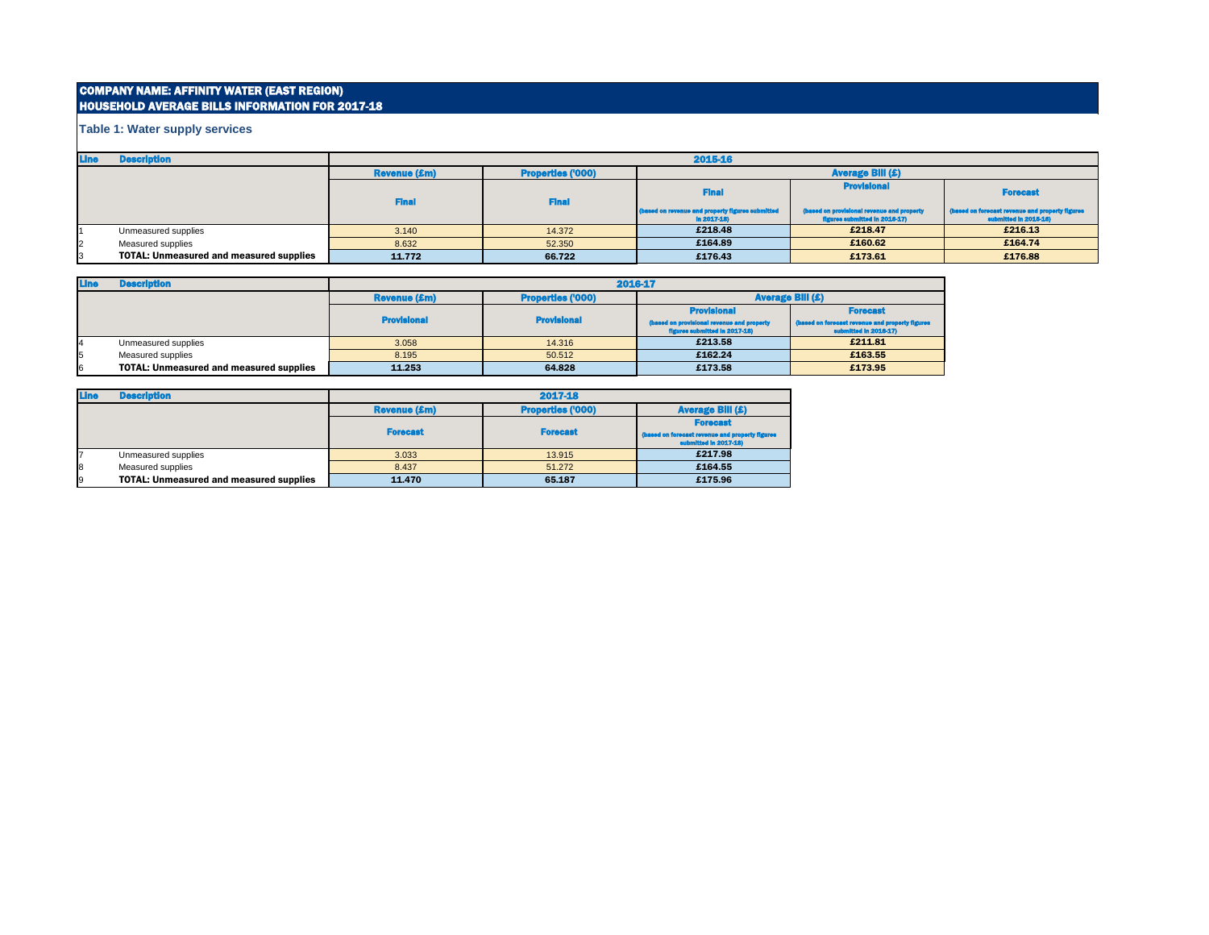# COMPANY NAME: AFFINITY WATER (EAST REGION) HOUSEHOLD AVERAGE BILLS INFORMATION FOR 2017-18

| <b>Line</b>    | <b>Description</b>                             | 2015-16             |                          |                                                                  |                                                                             |                                                                          |  |
|----------------|------------------------------------------------|---------------------|--------------------------|------------------------------------------------------------------|-----------------------------------------------------------------------------|--------------------------------------------------------------------------|--|
|                |                                                | <b>Revenue (£m)</b> | <b>Properties ('000)</b> | <b>Average Bill (£)</b>                                          |                                                                             |                                                                          |  |
|                |                                                | <b>Final</b>        | <b>Final</b>             | <b>Fina</b>                                                      | <b>Provisional</b>                                                          | <b>Forecast</b>                                                          |  |
|                |                                                |                     |                          | (based on revenue and property figures submitted<br>$ln 2017-18$ | (based on provisional revenue and property<br>figures submitted in 2016-17) | (based on forecast revenue and property figures<br>submitted in 2015-16) |  |
|                | Unmeasured supplies                            | 3.140               | 14.372                   | £218.48                                                          | £218.47                                                                     | £216.13                                                                  |  |
| $\overline{2}$ | Measured supplies                              | 8.632               | 52.350                   | £164.89                                                          | £160.62                                                                     | £164.74                                                                  |  |
|                | <b>TOTAL: Unmeasured and measured supplies</b> | 11.772              | 66.722                   | £176.43                                                          | £173.61                                                                     | £176.88                                                                  |  |

| <b>Line</b> | <b>Description</b>                             | 2016-17             |                          |                                                                             |                                                                          |  |
|-------------|------------------------------------------------|---------------------|--------------------------|-----------------------------------------------------------------------------|--------------------------------------------------------------------------|--|
|             |                                                | <b>Revenue (£m)</b> | <b>Properties ('000)</b> | <b>Average Bill (£)</b>                                                     |                                                                          |  |
|             |                                                |                     |                          | <b>Provisional</b>                                                          | <b>Forecast</b>                                                          |  |
|             |                                                | <b>Provisional</b>  | <b>Provisional</b>       | (based on provisional revenue and property<br>figures submitted in 2017-18) | (based on forecast revenue and property figures<br>submitted in 2016-17) |  |
| 14          | Unmeasured supplies                            | 3.058               | 14.316                   | £213.58                                                                     | £211.81                                                                  |  |
| 5           | Measured supplies                              | 8.195               | 50.512                   | £162.24                                                                     | £163.55                                                                  |  |
| 6           | <b>TOTAL: Unmeasured and measured supplies</b> | 11.253              | 64.828                   | £173.58                                                                     | £173.95                                                                  |  |

| <b>Line</b> | <b>Description</b>                             | 2017-18             |                          |                                                                          |  |  |
|-------------|------------------------------------------------|---------------------|--------------------------|--------------------------------------------------------------------------|--|--|
|             |                                                | <b>Revenue (£m)</b> | <b>Properties ('000)</b> | <b>Average Bill (£)</b>                                                  |  |  |
|             |                                                |                     |                          | <b>Forecast</b>                                                          |  |  |
|             |                                                | <b>Forecast</b>     | <b>Forecast</b>          | (based on forecast revenue and property figures<br>submitted in 2017-18) |  |  |
|             | Unmeasured supplies                            | 3.033               | 13.915                   | £217.98                                                                  |  |  |
| 8           | Measured supplies                              | 8.437               | 51.272                   | £164.55                                                                  |  |  |
| 9           | <b>TOTAL: Unmeasured and measured supplies</b> | 11.470              | 65.187                   | £175.96                                                                  |  |  |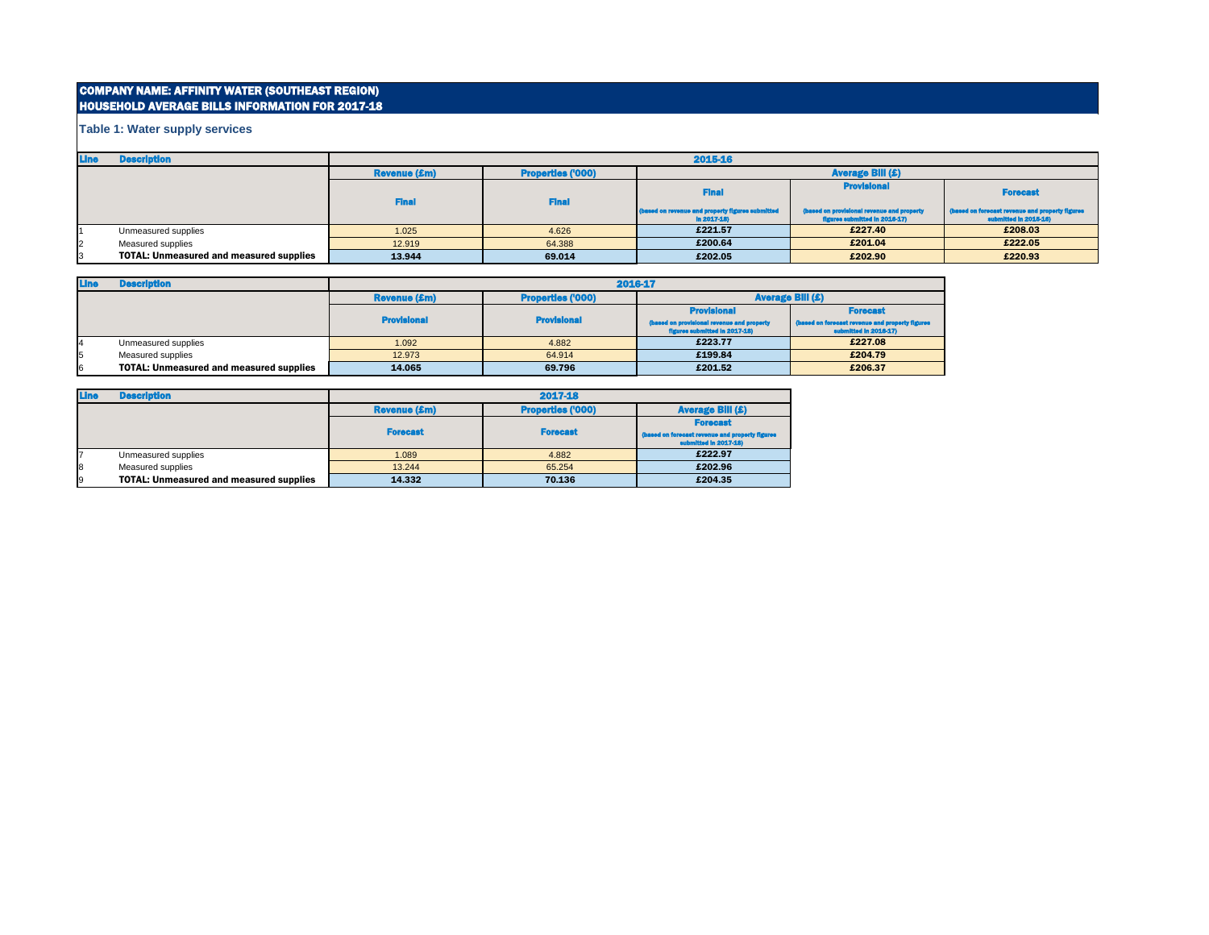# COMPANY NAME: AFFINITY WATER (SOUTHEAST REGION) HOUSEHOLD AVERAGE BILLS INFORMATION FOR 2017-18

| <b>Line</b>    | <b>Description</b>                             | 2015-16             |                          |                                                                  |                                                                             |                                                                          |
|----------------|------------------------------------------------|---------------------|--------------------------|------------------------------------------------------------------|-----------------------------------------------------------------------------|--------------------------------------------------------------------------|
|                |                                                | <b>Revenue (£m)</b> | <b>Properties ('000)</b> | <b>Average Bill (£)</b>                                          |                                                                             |                                                                          |
|                |                                                | <b>Final</b>        | <b>Final</b>             | <b>Final</b>                                                     | <b>Provisional</b>                                                          | <b>Forecast</b>                                                          |
|                |                                                |                     |                          | (based on revenue and property figures submitted<br>$ln 2017-18$ | (based on provisional revenue and property<br>figures submitted in 2016-17) | (based on forecast revenue and property figures<br>submitted in 2015-16) |
|                | Unmeasured supplies                            | 1.025               | 4.626                    | £221.57                                                          | £227.40                                                                     | £208.03                                                                  |
| $\overline{2}$ | Measured supplies                              | 12.919              | 64.388                   | £200.64                                                          | £201.04                                                                     | £222.05                                                                  |
| 3              | <b>TOTAL: Unmeasured and measured supplies</b> | 13.944              | 69.014                   | £202.05                                                          | £202.90                                                                     | £220.93                                                                  |

| <b>Line</b> | <b>Description</b>                             | 2016-17             |                          |                                                                             |                                                                          |  |
|-------------|------------------------------------------------|---------------------|--------------------------|-----------------------------------------------------------------------------|--------------------------------------------------------------------------|--|
|             |                                                | <b>Revenue (£m)</b> | <b>Properties ('000)</b> |                                                                             | <b>Average Bill (£)</b>                                                  |  |
|             |                                                |                     |                          | <b>Provisional</b>                                                          | <b>Forecast</b>                                                          |  |
|             |                                                | <b>Provisional</b>  | <b>Provisional</b>       | (based on provisional revenue and property<br>figures submitted in 2017-18) | (based on forecast revenue and property figures<br>submitted in 2016-17) |  |
|             | Unmeasured supplies                            | 1.092               | 4.882                    | £223.77                                                                     | £227.08                                                                  |  |
| 15          | Measured supplies                              | 12.973              | 64.914                   | £199.84                                                                     | £204.79                                                                  |  |
| l6          | <b>TOTAL: Unmeasured and measured supplies</b> | 14.065              | 69.796                   | £201.52                                                                     | £206.37                                                                  |  |

| <b>Line</b> | <b>Description</b>                             | 2017-18             |                          |                                                                          |  |  |
|-------------|------------------------------------------------|---------------------|--------------------------|--------------------------------------------------------------------------|--|--|
|             |                                                | <b>Revenue (£m)</b> | <b>Properties ('000)</b> | <b>Average Bill (£)</b>                                                  |  |  |
|             |                                                |                     |                          | <b>Forecast</b>                                                          |  |  |
|             |                                                | <b>Forecast</b>     | <b>Forecast</b>          | (based on forecast revenue and property figures<br>submitted in 2017-18) |  |  |
|             | Unmeasured supplies                            | 1.089               | 4.882                    | £222.97                                                                  |  |  |
| 8           | Measured supplies                              | 13.244              | 65.254                   | £202.96                                                                  |  |  |
| 9           | <b>TOTAL: Unmeasured and measured supplies</b> | 14.332              | 70.136                   | £204.35                                                                  |  |  |